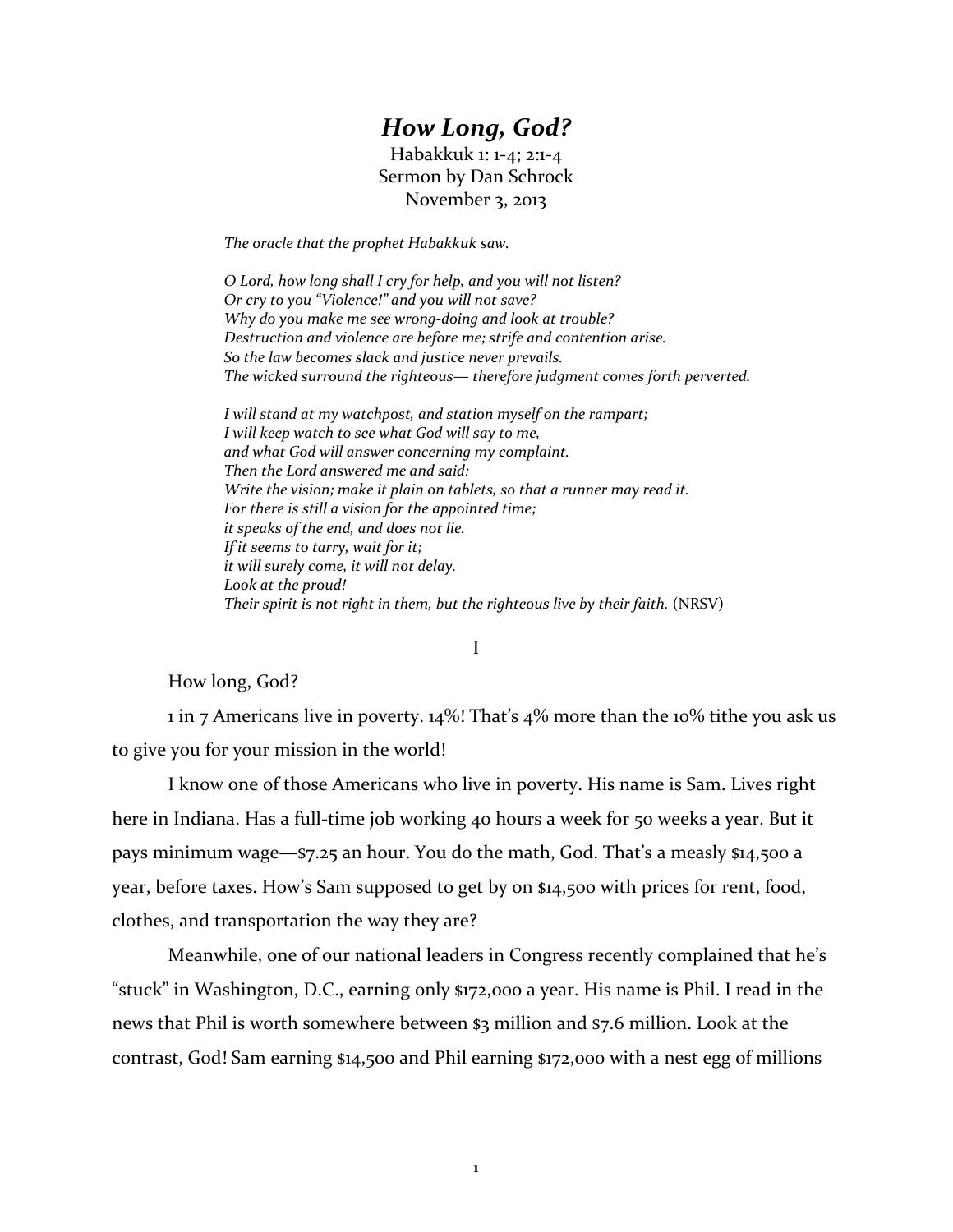## *How Long, God?*

Habakkuk 1: 1‐4; 2:1‐4 Sermon by Dan Schrock November 3, 2013

*The oracle that the prophet Habakkuk saw.* 

*O Lord, how long shall I cry for help, and you will not listen? Or cry to you "Violence!" and you will not save? Why do you make me see wrong‐doing and look at trouble? Destruction and violence are before me; strife and contention arise. So the law becomes slack and justice never prevails. The wicked surround the righteous— therefore judgment comes forth perverted.* 

*I will stand at my watchpost, and station myself on the rampart; I will keep watch to see what God will say to me, and what God will answer concerning my complaint. Then the Lord answered me and said: Write the vision; make it plain on tablets, so that a runner may read it. For there is still a vision for the appointed time; it speaks of the end, and does not lie. If it seems to tarry, wait for it; it will surely come, it will not delay. Look at the proud! Their spirit is not right in them, but the righteous live by their faith.* (NRSV)

## I

## How long, God?

1 in 7 Americans live in poverty.  $14\%$ ! That's  $4\%$  more than the 10% tithe you ask us to give you for your mission in the world!

I know one of those Americans who live in poverty. His name is Sam. Lives right here in Indiana. Has a full-time job working 40 hours a week for 50 weeks a year. But it pays minimum wage—\$7.25 an hour. You do the math, God. That's a measly \$14,500 a year, before taxes. How's Sam supposed to get by on \$14,500 with prices for rent, food, clothes, and transportation the way they are?

Meanwhile, one of our national leaders in Congress recently complained that he's "stuck" in Washington, D.C., earning only \$172,000 a year. His name is Phil. I read in the news that Phil is worth somewhere between \$3 million and \$7.6 million. Look at the contrast, God! Sam earning \$14,500 and Phil earning \$172,000 with a nest egg of millions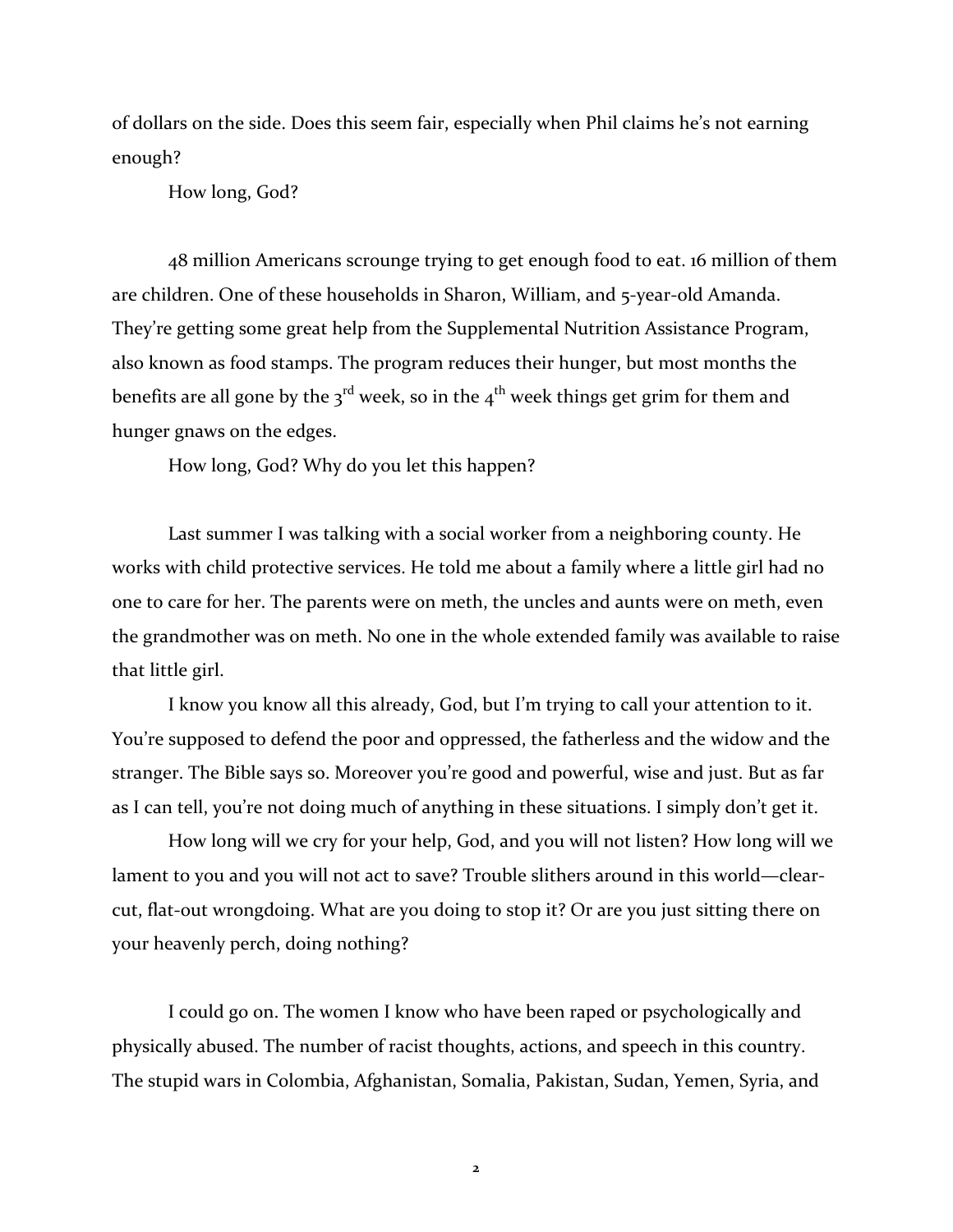of dollars on the side. Does this seem fair, especially when Phil claims he's not earning enough?

How long, God?

48 million Americans scrounge trying to get enough food to eat. 16 million of them are children. One of these households in Sharon, William, and 5‐year‐old Amanda. They're getting some great help from the Supplemental Nutrition Assistance Program, also known as food stamps. The program reduces their hunger, but most months the benefits are all gone by the 3<sup>rd</sup> week, so in the 4<sup>th</sup> week things get grim for them and hunger gnaws on the edges.

How long, God? Why do you let this happen?

Last summer I was talking with a social worker from a neighboring county. He works with child protective services. He told me about a family where a little girl had no one to care for her. The parents were on meth, the uncles and aunts were on meth, even the grandmother was on meth. No one in the whole extended family was available to raise that little girl.

I know you know all this already, God, but I'm trying to call your attention to it. You're supposed to defend the poor and oppressed, the fatherless and the widow and the stranger. The Bible says so. Moreover you're good and powerful, wise and just. But as far as I can tell, you're not doing much of anything in these situations. I simply don't get it.

How long will we cry for your help, God, and you will not listen? How long will we lament to you and you will not act to save? Trouble slithers around in this world—clearcut, flat-out wrongdoing. What are you doing to stop it? Or are you just sitting there on your heavenly perch, doing nothing?

I could go on. The women I know who have been raped or psychologically and physically abused. The number of racist thoughts, actions, and speech in this country. The stupid wars in Colombia, Afghanistan, Somalia, Pakistan, Sudan, Yemen, Syria, and

**2**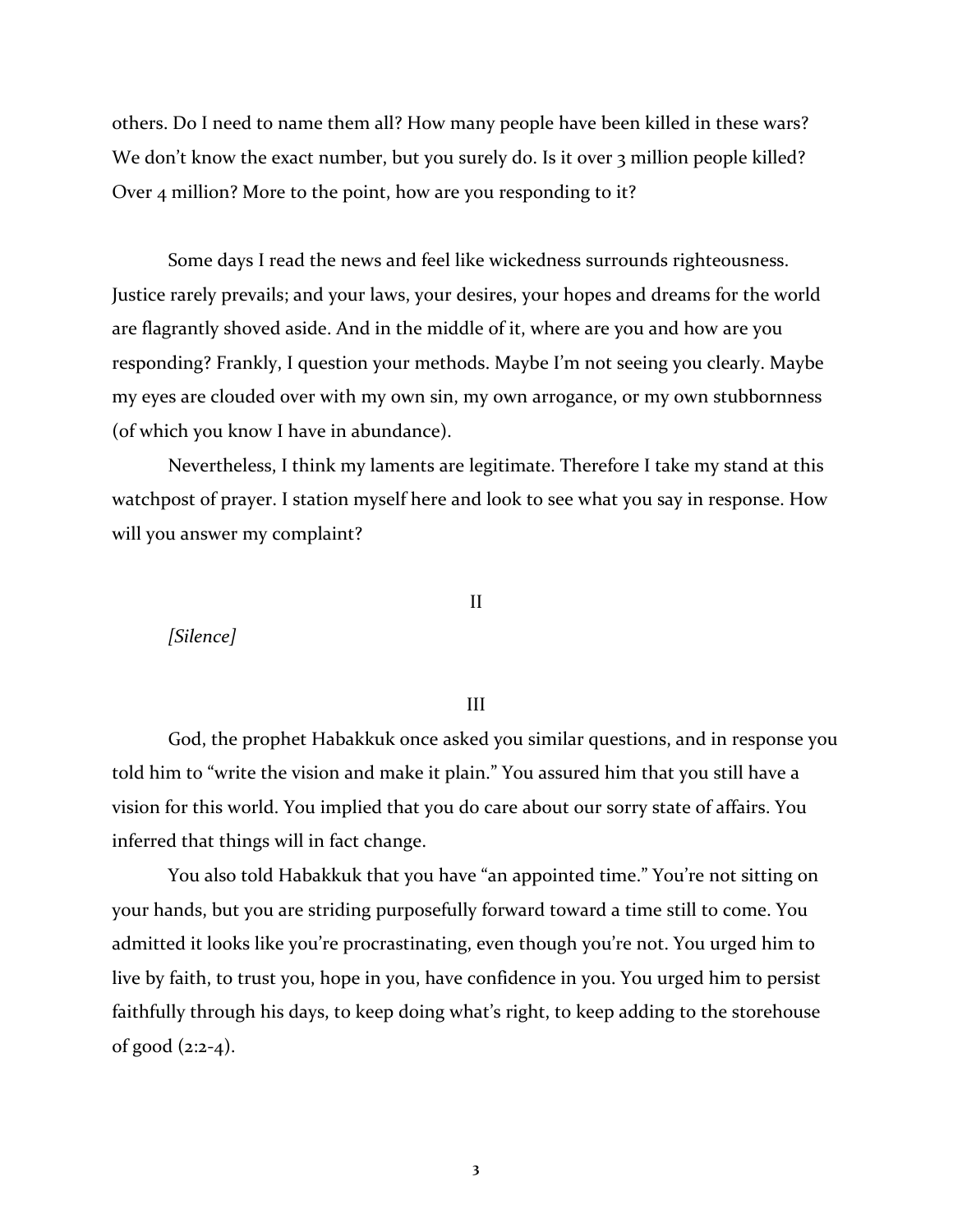others. Do I need to name them all? How many people have been killed in these wars? We don't know the exact number, but you surely do. Is it over 3 million people killed? Over 4 million? More to the point, how are you responding to it?

Some days I read the news and feel like wickedness surrounds righteousness. Justice rarely prevails; and your laws, your desires, your hopes and dreams for the world are flagrantly shoved aside. And in the middle of it, where are you and how are you responding? Frankly, I question your methods. Maybe I'm not seeing you clearly. Maybe my eyes are clouded over with my own sin, my own arrogance, or my own stubbornness (of which you know I have in abundance).

Nevertheless, I think my laments are legitimate. Therefore I take my stand at this watchpost of prayer. I station myself here and look to see what you say in response. How will you answer my complaint?

*[Silence]*

II

## III

God, the prophet Habakkuk once asked you similar questions, and in response you told him to "write the vision and make it plain." You assured him that you still have a vision for this world. You implied that you do care about our sorry state of affairs. You inferred that things will in fact change.

You also told Habakkuk that you have "an appointed time." You're not sitting on your hands, but you are striding purposefully forward toward a time still to come. You admitted it looks like you're procrastinating, even though you're not. You urged him to live by faith, to trust you, hope in you, have confidence in you. You urged him to persist faithfully through his days, to keep doing what's right, to keep adding to the storehouse of good  $(2:2-4)$ .